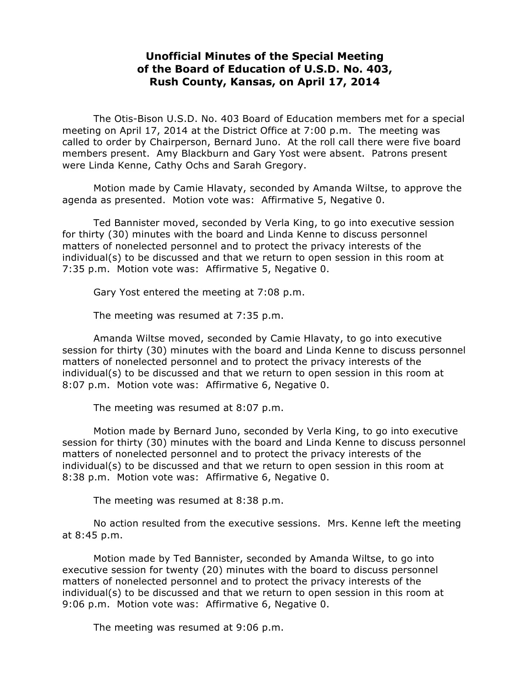## **Unofficial Minutes of the Special Meeting of the Board of Education of U.S.D. No. 403, Rush County, Kansas, on April 17, 2014**

The Otis-Bison U.S.D. No. 403 Board of Education members met for a special meeting on April 17, 2014 at the District Office at 7:00 p.m. The meeting was called to order by Chairperson, Bernard Juno. At the roll call there were five board members present. Amy Blackburn and Gary Yost were absent. Patrons present were Linda Kenne, Cathy Ochs and Sarah Gregory.

Motion made by Camie Hlavaty, seconded by Amanda Wiltse, to approve the agenda as presented. Motion vote was: Affirmative 5, Negative 0.

 Ted Bannister moved, seconded by Verla King, to go into executive session for thirty (30) minutes with the board and Linda Kenne to discuss personnel matters of nonelected personnel and to protect the privacy interests of the individual(s) to be discussed and that we return to open session in this room at 7:35 p.m. Motion vote was: Affirmative 5, Negative 0.

Gary Yost entered the meeting at 7:08 p.m.

The meeting was resumed at 7:35 p.m.

 Amanda Wiltse moved, seconded by Camie Hlavaty, to go into executive session for thirty (30) minutes with the board and Linda Kenne to discuss personnel matters of nonelected personnel and to protect the privacy interests of the individual(s) to be discussed and that we return to open session in this room at 8:07 p.m. Motion vote was: Affirmative 6, Negative 0.

The meeting was resumed at 8:07 p.m.

 Motion made by Bernard Juno, seconded by Verla King, to go into executive session for thirty (30) minutes with the board and Linda Kenne to discuss personnel matters of nonelected personnel and to protect the privacy interests of the individual(s) to be discussed and that we return to open session in this room at 8:38 p.m. Motion vote was: Affirmative 6, Negative 0.

The meeting was resumed at 8:38 p.m.

No action resulted from the executive sessions. Mrs. Kenne left the meeting at 8:45 p.m.

Motion made by Ted Bannister, seconded by Amanda Wiltse, to go into executive session for twenty (20) minutes with the board to discuss personnel matters of nonelected personnel and to protect the privacy interests of the individual(s) to be discussed and that we return to open session in this room at 9:06 p.m. Motion vote was: Affirmative 6, Negative 0.

The meeting was resumed at 9:06 p.m.